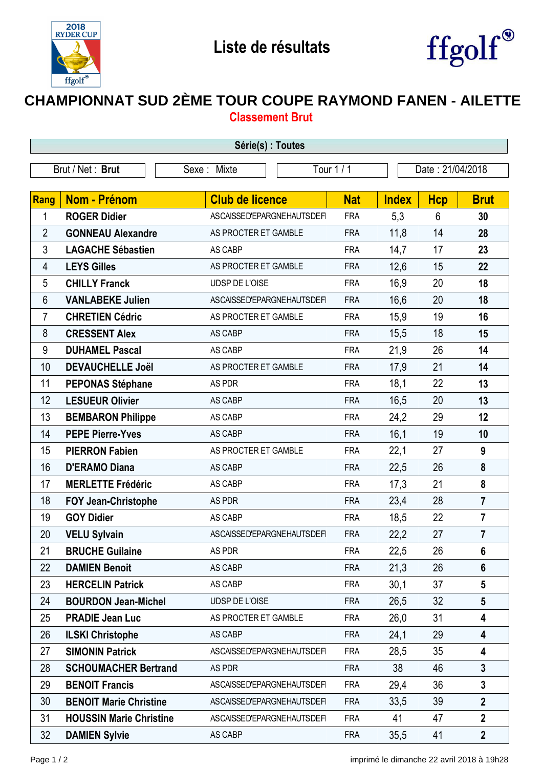



## **CHAMPIONNAT SUD 2ÈME TOUR COUPE RAYMOND FANEN - AILETTE Classement Brut**

| Série(s) : Toutes |                                                                 |                            |            |              |            |                         |  |  |  |  |
|-------------------|-----------------------------------------------------------------|----------------------------|------------|--------------|------------|-------------------------|--|--|--|--|
|                   | Brut / Net: Brut<br>Tour 1/1<br>Sexe: Mixte<br>Date: 21/04/2018 |                            |            |              |            |                         |  |  |  |  |
| <b>Rang</b>       | <b>Nom - Prénom</b>                                             | <b>Club de licence</b>     | <b>Nat</b> | <b>Index</b> | <b>Hcp</b> | <b>Brut</b>             |  |  |  |  |
| 1                 | <b>ROGER Didier</b>                                             | ASCAISSED'EPARGNEHAUTSDEFI | <b>FRA</b> | 5,3          | 6          | 30                      |  |  |  |  |
| $\overline{2}$    | <b>GONNEAU Alexandre</b>                                        | AS PROCTER ET GAMBLE       | <b>FRA</b> | 11,8         | 14         | 28                      |  |  |  |  |
| 3                 | <b>LAGACHE Sébastien</b>                                        | AS CABP                    | <b>FRA</b> | 14,7         | 17         | 23                      |  |  |  |  |
| 4                 | <b>LEYS Gilles</b>                                              | AS PROCTER ET GAMBLE       | <b>FRA</b> | 12,6         | 15         | 22                      |  |  |  |  |
| 5                 | <b>CHILLY Franck</b>                                            | UDSP DE L'OISE             | <b>FRA</b> | 16,9         | 20         | 18                      |  |  |  |  |
| 6                 | <b>VANLABEKE Julien</b>                                         | ASCAISSED'EPARGNEHAUTSDEFI | <b>FRA</b> | 16,6         | 20         | 18                      |  |  |  |  |
| 7                 | <b>CHRETIEN Cédric</b>                                          | AS PROCTER ET GAMBLE       | <b>FRA</b> | 15,9         | 19         | 16                      |  |  |  |  |
| 8                 | <b>CRESSENT Alex</b>                                            | AS CABP                    | <b>FRA</b> | 15,5         | 18         | 15                      |  |  |  |  |
| 9                 | <b>DUHAMEL Pascal</b>                                           | AS CABP                    | <b>FRA</b> | 21,9         | 26         | 14                      |  |  |  |  |
| 10                | <b>DEVAUCHELLE Joël</b>                                         | AS PROCTER ET GAMBLE       | <b>FRA</b> | 17,9         | 21         | 14                      |  |  |  |  |
| 11                | <b>PEPONAS Stéphane</b>                                         | AS PDR                     | <b>FRA</b> | 18,1         | 22         | 13                      |  |  |  |  |
| 12                | <b>LESUEUR Olivier</b>                                          | AS CABP                    | <b>FRA</b> | 16,5         | 20         | 13                      |  |  |  |  |
| 13                | <b>BEMBARON Philippe</b>                                        | AS CABP                    | <b>FRA</b> | 24,2         | 29         | 12                      |  |  |  |  |
| 14                | <b>PEPE Pierre-Yves</b>                                         | AS CABP                    | <b>FRA</b> | 16,1         | 19         | 10                      |  |  |  |  |
| 15                | <b>PIERRON Fabien</b>                                           | AS PROCTER ET GAMBLE       | <b>FRA</b> | 22,1         | 27         | 9                       |  |  |  |  |
| 16                | <b>D'ERAMO Diana</b>                                            | AS CABP                    | <b>FRA</b> | 22,5         | 26         | 8                       |  |  |  |  |
| 17                | <b>MERLETTE Frédéric</b>                                        | AS CABP                    | <b>FRA</b> | 17,3         | 21         | 8                       |  |  |  |  |
| 18                | <b>FOY Jean-Christophe</b>                                      | AS PDR                     | <b>FRA</b> | 23,4         | 28         | $\overline{7}$          |  |  |  |  |
| 19                | <b>GOY Didier</b>                                               | AS CABP                    | <b>FRA</b> | 18,5         | 22         | $\overline{7}$          |  |  |  |  |
| 20                | <b>VELU Sylvain</b>                                             | ASCAISSED'EPARGNEHAUTSDEFI | <b>FRA</b> | 22,2         | 27         | $\overline{7}$          |  |  |  |  |
| 21                | <b>BRUCHE Guilaine</b>                                          | AS PDR                     | <b>FRA</b> | 22,5         | 26         | 6                       |  |  |  |  |
| 22                | <b>DAMIEN Benoit</b>                                            | AS CABP                    | <b>FRA</b> | 21,3         | 26         | 6                       |  |  |  |  |
| 23                | <b>HERCELIN Patrick</b>                                         | AS CABP                    | <b>FRA</b> | 30,1         | 37         | $5\phantom{.0}$         |  |  |  |  |
| 24                | <b>BOURDON Jean-Michel</b>                                      | <b>UDSP DE L'OISE</b>      | <b>FRA</b> | 26,5         | 32         | $5\phantom{.0}$         |  |  |  |  |
| 25                | <b>PRADIE Jean Luc</b>                                          | AS PROCTER ET GAMBLE       | <b>FRA</b> | 26,0         | 31         | 4                       |  |  |  |  |
| 26                | <b>ILSKI Christophe</b>                                         | AS CABP                    | <b>FRA</b> | 24,1         | 29         | 4                       |  |  |  |  |
| 27                | <b>SIMONIN Patrick</b>                                          | ASCAISSED'EPARGNEHAUTSDEFI | <b>FRA</b> | 28,5         | 35         | 4                       |  |  |  |  |
| 28                | <b>SCHOUMACHER Bertrand</b>                                     | AS PDR                     | <b>FRA</b> | 38           | 46         | $\mathbf{3}$            |  |  |  |  |
| 29                | <b>BENOIT Francis</b>                                           | ASCAISSED'EPARGNEHAUTSDEFI | <b>FRA</b> | 29,4         | 36         | $\overline{\mathbf{3}}$ |  |  |  |  |
| 30                | <b>BENOIT Marie Christine</b>                                   | ASCAISSED'EPARGNEHAUTSDEFI | <b>FRA</b> | 33,5         | 39         | $\mathbf{2}$            |  |  |  |  |
| 31                | <b>HOUSSIN Marie Christine</b>                                  | ASCAISSED'EPARGNEHAUTSDEFI | <b>FRA</b> | 41           | 47         | $\overline{2}$          |  |  |  |  |
| 32                | <b>DAMIEN Sylvie</b>                                            | AS CABP                    | <b>FRA</b> | 35,5         | 41         | $\overline{2}$          |  |  |  |  |